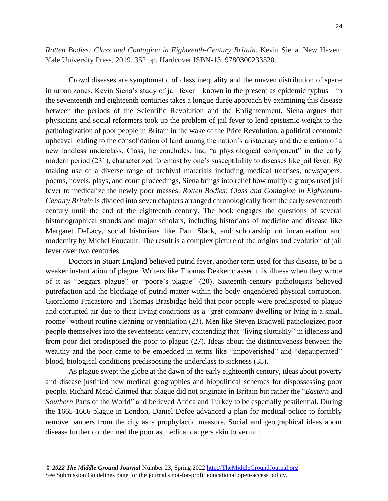*Rotten Bodies: Class and Contagion in Eighteenth-Century Britain*. Kevin Siena. New Haven: Yale University Press, 2019. 352 pp. Hardcover ISBN-13: 9780300233520.

Crowd diseases are symptomatic of class inequality and the uneven distribution of space in urban zones. Kevin Siena's study of jail fever––known in the present as epidemic typhus––in the seventeenth and eighteenth centuries takes a longue durée approach by examining this disease between the periods of the Scientific Revolution and the Enlightenment. Siena argues that physicians and social reformers took up the problem of jail fever to lend epistemic weight to the pathologization of poor people in Britain in the wake of the Price Revolution, a political economic upheaval leading to the consolidation of land among the nation's aristocracy and the creation of a new landless underclass. Class, he concludes, had "a physiological component" in the early modern period (231), characterized foremost by one's susceptibility to diseases like jail fever. By making use of a diverse range of archival materials including medical treatises, newspapers, poems, novels, plays, and court proceedings, Siena brings into relief how multiple groups used jail fever to medicalize the newly poor masses. *Rotten Bodies: Class and Contagion in Eighteenth-Century Britain* is divided into seven chapters arranged chronologically from the early seventeenth century until the end of the eighteenth century. The book engages the questions of several historiographical strands and major scholars, including historians of medicine and disease like Margaret DeLacy, social historians like Paul Slack, and scholarship on incarceration and modernity by Michel Foucault. The result is a complex picture of the origins and evolution of jail fever over two centuries.

Doctors in Stuart England believed putrid fever, another term used for this disease, to be a weaker instantiation of plague. Writers like Thomas Dekker classed this illness when they wrote of it as "beggars plague" or "poore's plague" (20). Sixteenth-century pathologists believed putrefaction and the blockage of putrid matter within the body engendered physical corruption. Gioralomo Fracastoro and Thomas Brasbidge held that poor people were predisposed to plague and corrupted air due to their living conditions as a "gret company dwelling or lying in a small roome" without routine cleaning or ventilation (23). Men like Steven Bradwell pathologized poor people themselves into the seventeenth century, contending that "living sluttishly" in idleness and from poor diet predisposed the poor to plague (27). Ideas about the distinctiveness between the wealthy and the poor came to be embedded in terms like "impoverished" and "depauperated" blood, biological conditions predisposing the underclass to sickness (35).

As plague swept the globe at the dawn of the early eighteenth century, ideas about poverty and disease justified new medical geographies and biopolitical schemes for dispossessing poor people. Richard Mead claimed that plague did not originate in Britain but rather the "*Eastern* and *Southern* Parts of the World" and believed Africa and Turkey to be especially pestilential. During the 1665-1666 plague in London, Daniel Defoe advanced a plan for medical police to forcibly remove paupers from the city as a prophylactic measure. Social and geographical ideas about disease further condemned the poor as medical dangers akin to vermin.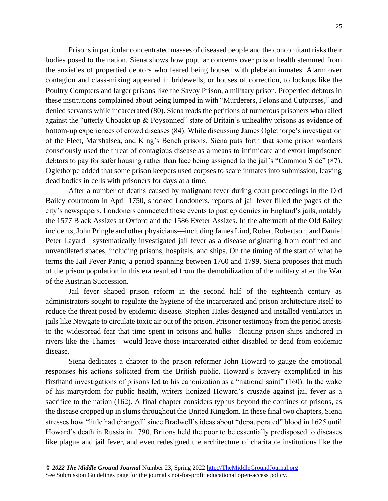Prisons in particular concentrated masses of diseased people and the concomitant risks their bodies posed to the nation. Siena shows how popular concerns over prison health stemmed from the anxieties of propertied debtors who feared being housed with plebeian inmates. Alarm over contagion and class-mixing appeared in bridewells, or houses of correction, to lockups like the Poultry Compters and larger prisons like the Savoy Prison, a military prison. Propertied debtors in these institutions complained about being lumped in with "Murderers, Felons and Cutpurses," and denied servants while incarcerated (80). Siena reads the petitions of numerous prisoners who railed against the "utterly Choackt up & Poysonned" state of Britain's unhealthy prisons as evidence of bottom-up experiences of crowd diseases (84). While discussing James Oglethorpe's investigation of the Fleet, Marshalsea, and King's Bench prisons, Siena puts forth that some prison wardens consciously used the threat of contagious disease as a means to intimidate and extort imprisoned debtors to pay for safer housing rather than face being assigned to the jail's "Common Side" (87). Oglethorpe added that some prison keepers used corpses to scare inmates into submission, leaving dead bodies in cells with prisoners for days at a time.

After a number of deaths caused by malignant fever during court proceedings in the Old Bailey courtroom in April 1750, shocked Londoners, reports of jail fever filled the pages of the city's newspapers. Londoners connected these events to past epidemics in England's jails, notably the 1577 Black Assizes at Oxford and the 1586 Exeter Assizes. In the aftermath of the Old Bailey incidents, John Pringle and other physicians––including James Lind, Robert Robertson, and Daniel Peter Layard––systematically investigated jail fever as a disease originating from confined and unventilated spaces, including prisons, hospitals, and ships. On the timing of the start of what he terms the Jail Fever Panic, a period spanning between 1760 and 1799, Siena proposes that much of the prison population in this era resulted from the demobilization of the military after the War of the Austrian Succession.

Jail fever shaped prison reform in the second half of the eighteenth century as administrators sought to regulate the hygiene of the incarcerated and prison architecture itself to reduce the threat posed by epidemic disease. Stephen Hales designed and installed ventilators in jails like Newgate to circulate toxic air out of the prison. Prisoner testimony from the period attests to the widespread fear that time spent in prisons and hulks––floating prison ships anchored in rivers like the Thames––would leave those incarcerated either disabled or dead from epidemic disease.

Siena dedicates a chapter to the prison reformer John Howard to gauge the emotional responses his actions solicited from the British public. Howard's bravery exemplified in his firsthand investigations of prisons led to his canonization as a "national saint" (160). In the wake of his martyrdom for public health, writers lionized Howard's crusade against jail fever as a sacrifice to the nation (162). A final chapter considers typhus beyond the confines of prisons, as the disease cropped up in slums throughout the United Kingdom. In these final two chapters, Siena stresses how "little had changed" since Bradwell's ideas about "depauperated" blood in 1625 until Howard's death in Russia in 1790. Britons held the poor to be essentially predisposed to diseases like plague and jail fever, and even redesigned the architecture of charitable institutions like the